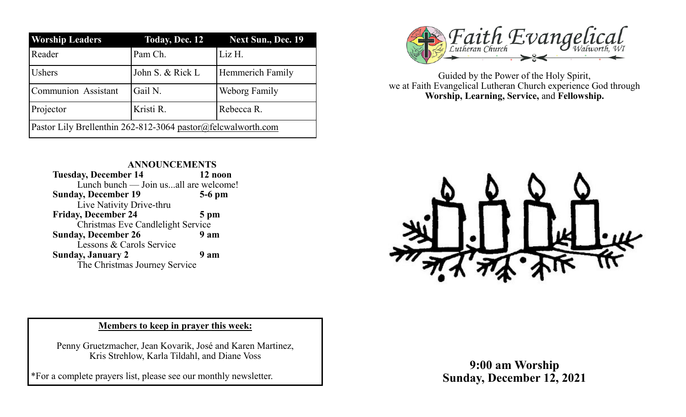| <b>Worship Leaders</b>                                       | <b>Today, Dec. 12</b> | <b>Next Sun., Dec. 19</b> |
|--------------------------------------------------------------|-----------------------|---------------------------|
| Reader                                                       | Pam Ch.               | Liz H.                    |
| <b>Ushers</b>                                                | John S. & Rick L      | Hemmerich Family          |
| <b>Communion Assistant</b>                                   | Gail N.               | Weborg Family             |
| Projector                                                    | Kristi R.             | Rebecca R.                |
| Pastor Lily Brellenthin 262-812-3064 pastor@felcwalworth.com |                       |                           |



Guided by the Power of the Holy Spirit, we at Faith Evangelical Lutheran Church experience God through **Worship, Learning, Service,** and **Fellowship.**

**ANNOUNCEMENTS Tuesday, December 14 12 noon** Lunch bunch — Join us...all are welcome! **Sunday, December 19 5-6 pm** Live Nativity Drive-thru **Friday, December 24 5 pm** Christmas Eve Candlelight Service **Sunday, December 26 9 am** Lessons & Carols Service **Sunday, January 2 9 am** The Christmas Journey Service



## **Members to keep in prayer this week:**

Penny Gruetzmacher, Jean Kovarik, José and Karen Martinez, Kris Strehlow, Karla Tildahl, and Diane Voss

\*For a complete prayers list, please see our monthly newsletter.

**9:00 am Worship Sunday, December 12, 2021**